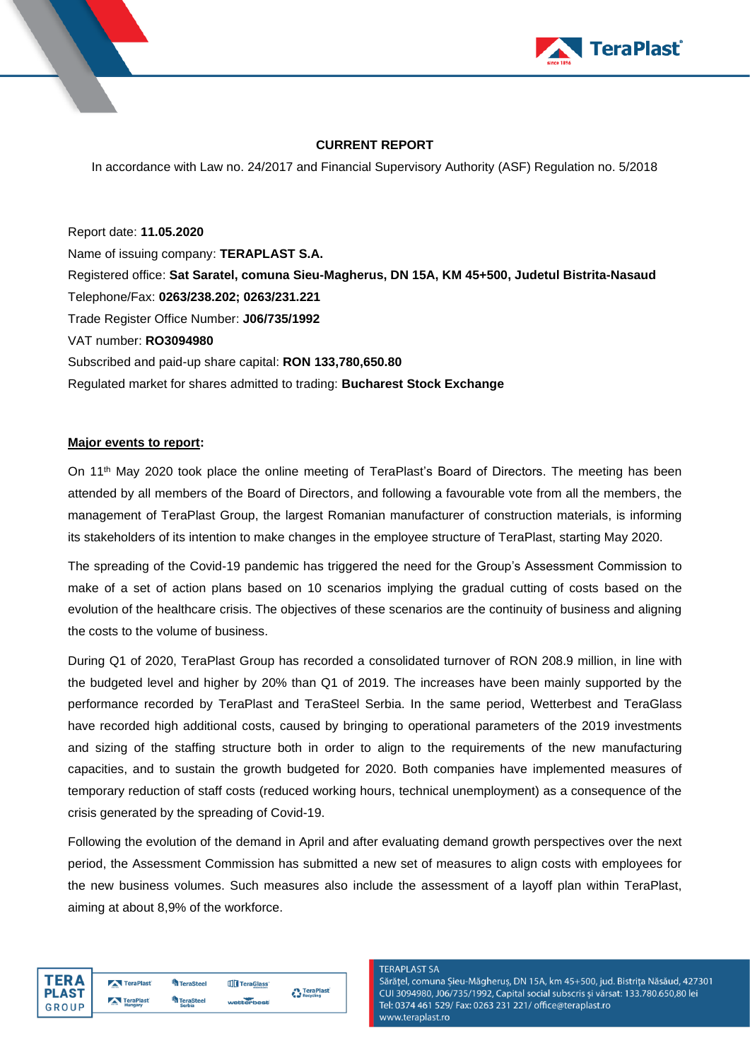



## **CURRENT REPORT**

In accordance with Law no. 24/2017 and Financial Supervisory Authority (ASF) Regulation no. 5/2018

Report date: **11.05.2020** Name of issuing company: **TERAPLAST S.A.** Registered office: **Sat Saratel, comuna Sieu-Magherus, DN 15A, KM 45+500, Judetul Bistrita-Nasaud** Telephone/Fax: **0263/238.202; 0263/231.221** Trade Register Office Number: **J06/735/1992** VAT number: **RO3094980** Subscribed and paid-up share capital: **RON 133,780,650.80** Regulated market for shares admitted to trading: **Bucharest Stock Exchange**

### **Major events to report:**

On 11th May 2020 took place the online meeting of TeraPlast's Board of Directors. The meeting has been attended by all members of the Board of Directors, and following a favourable vote from all the members, the management of TeraPlast Group, the largest Romanian manufacturer of construction materials, is informing its stakeholders of its intention to make changes in the employee structure of TeraPlast, starting May 2020.

The spreading of the Covid-19 pandemic has triggered the need for the Group's Assessment Commission to make of a set of action plans based on 10 scenarios implying the gradual cutting of costs based on the evolution of the healthcare crisis. The objectives of these scenarios are the continuity of business and aligning the costs to the volume of business.

During Q1 of 2020, TeraPlast Group has recorded a consolidated turnover of RON 208.9 million, in line with the budgeted level and higher by 20% than Q1 of 2019. The increases have been mainly supported by the performance recorded by TeraPlast and TeraSteel Serbia. In the same period, Wetterbest and TeraGlass have recorded high additional costs, caused by bringing to operational parameters of the 2019 investments and sizing of the staffing structure both in order to align to the requirements of the new manufacturing capacities, and to sustain the growth budgeted for 2020. Both companies have implemented measures of temporary reduction of staff costs (reduced working hours, technical unemployment) as a consequence of the crisis generated by the spreading of Covid-19.

Following the evolution of the demand in April and after evaluating demand growth perspectives over the next period, the Assessment Commission has submitted a new set of measures to align costs with employees for the new business volumes. Such measures also include the assessment of a layoff plan within TeraPlast, aiming at about 8,9% of the workforce.

| TERA         |
|--------------|
| <b>PLAST</b> |
| GROUP        |

| TeraPlast | TeraSteel                        | TeraGlass  | <b>C</b> TeraPlast |
|-----------|----------------------------------|------------|--------------------|
| TeraPlast | <sup>4</sup> TeraSteel<br>Serbia | wetterbest |                    |

#### **TFRAPI AST SA**

Sărățel, comuna Șieu-Măgheruș, DN 15A, km 45+500, jud. Bistrița Năsăud, 427301 CUI 3094980, J06/735/1992, Capital social subscris și vărsat: 133.780.650,80 lei Tel: 0374 461 529/ Fax: 0263 231 221/ office@teraplast.ro www.teraplast.ro